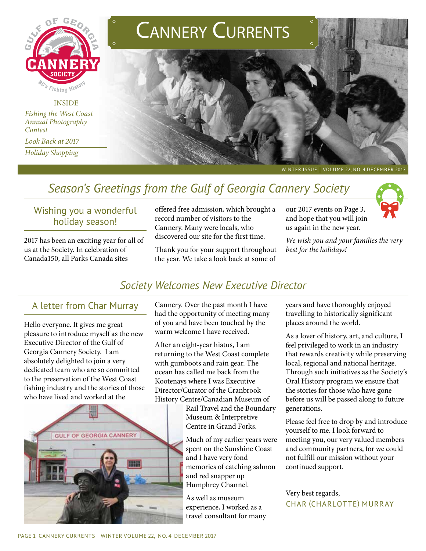

## **INSIDE**

*Fishing the West Coast Annual Photography Contest Look Back at 2017 Holiday Shopping*





WINTER ISSUE | VOLUME 22, NO. 4 DECEMBER 2017

# *Season's Greetings from the Gulf of Georgia Cannery Society*

### Wishing you a wonderful holiday season!

2017 has been an exciting year for all of us at the Society. In celebration of Canada150, all Parks Canada sites

offered free admission, which brought a record number of visitors to the Cannery. Many were locals, who discovered our site for the first time.

Thank you for your support throughout the year. We take a look back at some of

our 2017 events on Page 3, and hope that you will join us again in the new year.

*We wish you and your families the very best for the holidays!*



### A letter from Char Murray

Hello everyone. It gives me great pleasure to introduce myself as the new Executive Director of the Gulf of Georgia Cannery Society. I am absolutely delighted to join a very dedicated team who are so committed to the preservation of the West Coast fishing industry and the stories of those who have lived and worked at the



Cannery. Over the past month I have had the opportunity of meeting many of you and have been touched by the warm welcome I have received.

After an eight-year hiatus, I am returning to the West Coast complete with gumboots and rain gear. The ocean has called me back from the Kootenays where I was Executive Director/Curator of the Cranbrook History Centre/Canadian Museum of

Rail Travel and the Boundary Museum & Interpretive Centre in Grand Forks.

Much of my earlier years were spent on the Sunshine Coast and I have very fond memories of catching salmon and red snapper up Humphrey Channel.

As well as museum experience, I worked as a travel consultant for many years and have thoroughly enjoyed travelling to historically significant places around the world.

As a lover of history, art, and culture, I feel privileged to work in an industry that rewards creativity while preserving local, regional and national heritage. Through such initiatives as the Society's Oral History program we ensure that the stories for those who have gone before us will be passed along to future generations.

Please feel free to drop by and introduce yourself to me. I look forward to meeting you, our very valued members and community partners, for we could not fulfill our mission without your continued support.

#### Very best regards, char (charlotte) murray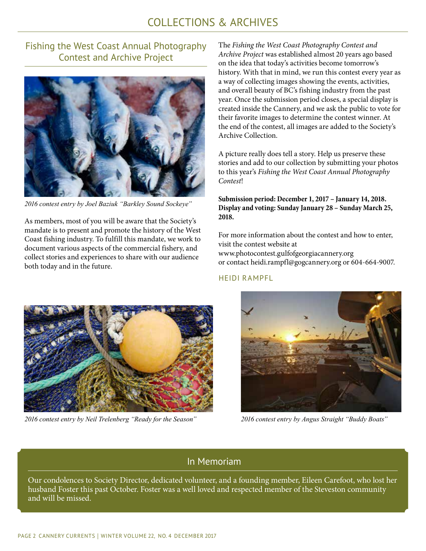## COLLECTIONS & ARCHIVES

### Fishing the West Coast Annual Photography Contest and Archive Project



*2016 contest entry by Joel Baziuk "Barkley Sound Sockeye"*

As members, most of you will be aware that the Society's mandate is to present and promote the history of the West Coast fishing industry. To fulfill this mandate, we work to document various aspects of the commercial fishery, and collect stories and experiences to share with our audience both today and in the future.

The *Fishing the West Coast Photography Contest and Archive Project* was established almost 20 years ago based on the idea that today's activities become tomorrow's history. With that in mind, we run this contest every year as a way of collecting images showing the events, activities, and overall beauty of BC's fishing industry from the past year. Once the submission period closes, a special display is created inside the Cannery, and we ask the public to vote for their favorite images to determine the contest winner. At the end of the contest, all images are added to the Society's Archive Collection.

A picture really does tell a story. Help us preserve these stories and add to our collection by submitting your photos to this year's *Fishing the West Coast Annual Photography Contest*!

**Submission period: December 1, 2017 – January 14, 2018. Display and voting: Sunday January 28 – Sunday March 25, 2018.** 

For more information about the contest and how to enter, visit the contest website at www.photocontest.gulfofgeorgiacannery.org or contact heidi.rampfl@gogcannery.org or 604-664-9007.

#### heidi rampfl



*2016 contest entry by Neil Trelenberg "Ready for the Season" 2016 contest entry by Angus Straight "Buddy Boats"*



### In Memoriam

Our condolences to Society Director, dedicated volunteer, and a founding member, Eileen Carefoot, who lost her husband Foster this past October. Foster was a well loved and respected member of the Steveston community and will be missed.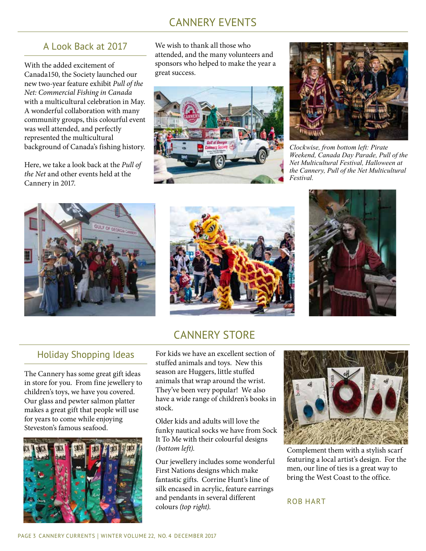## CANNERY EVENTS

### A Look Back at 2017

With the added excitement of Canada150, the Society launched our new two-year feature exhibit *Pull of the Net: Commercial Fishing in Canada*  with a multicultural celebration in May. A wonderful collaboration with many community groups, this colourful event was well attended, and perfectly represented the multicultural background of Canada's fishing history.

Here, we take a look back at the *Pull of the Net* and other events held at the Cannery in 2017.

We wish to thank all those who attended, and the many volunteers and sponsors who helped to make the year a great success.





*Clockwise, from bottom left: Pirate Weekend, Canada Day Parade, Pull of the Net Multicultural Festival, Halloween at the Cannery, Pull of the Net Multicultural Festival.* 







### CANNERY STORE

### Holiday Shopping Ideas

The Cannery has some great gift ideas in store for you. From fine jewellery to children's toys, we have you covered. Our glass and pewter salmon platter makes a great gift that people will use for years to come while enjoying Steveston's famous seafood.



For kids we have an excellent section of stuffed animals and toys. New this season are Huggers, little stuffed animals that wrap around the wrist. They've been very popular! We also have a wide range of children's books in stock.

Older kids and adults will love the funky nautical socks we have from Sock It To Me with their colourful designs *(bottom left).*

Our jewellery includes some wonderful First Nations designs which make fantastic gifts. Corrine Hunt's line of silk encased in acrylic, feature earrings and pendants in several different colours *(top right).* 



Complement them with a stylish scarf featuring a local artist's design. For the men, our line of ties is a great way to bring the West Coast to the office.

#### rob hart